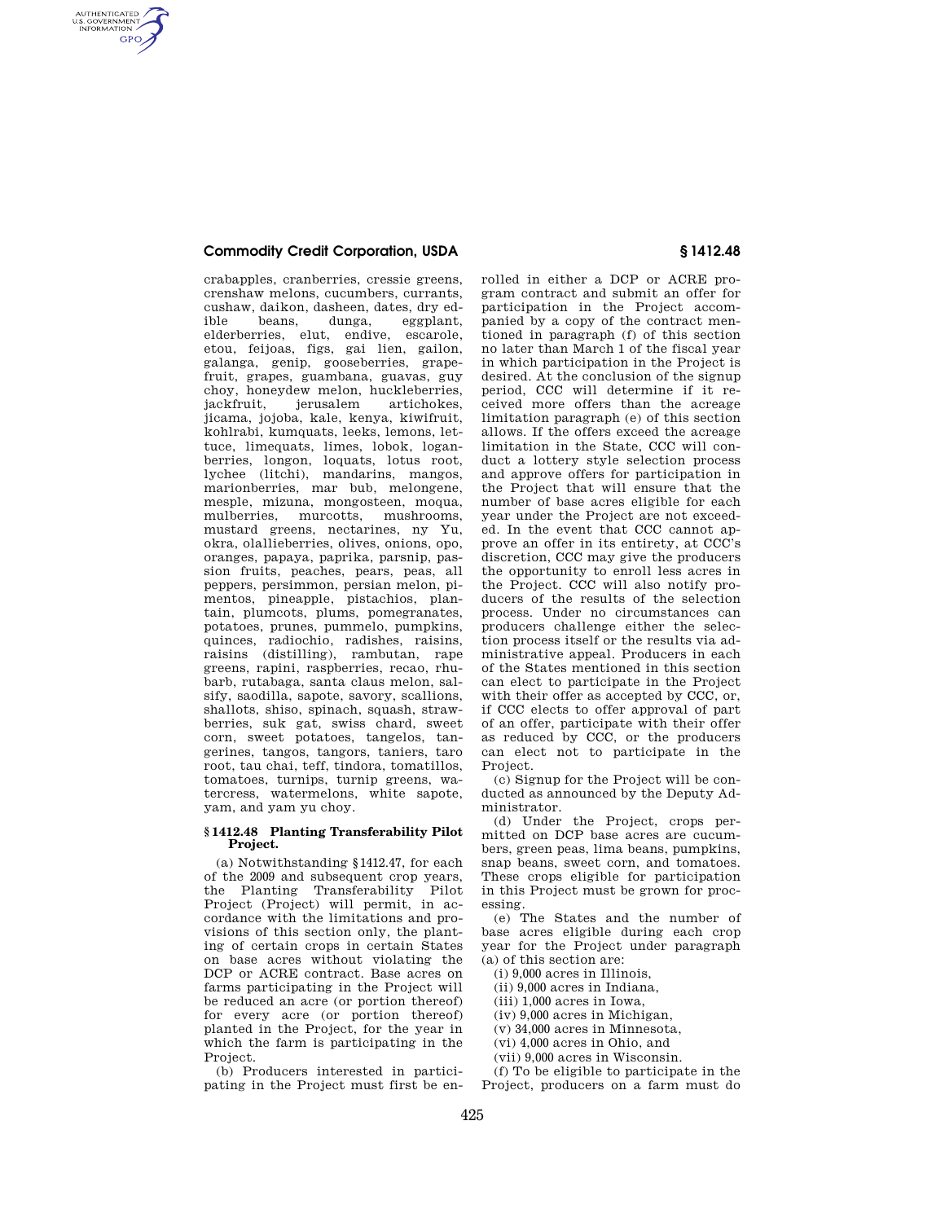## **Commodity Credit Corporation, USDA § 1412.48**

AUTHENTICATED<br>U.S. GOVERNMENT<br>INFORMATION **GPO** 

> crabapples, cranberries, cressie greens, crenshaw melons, cucumbers, currants, cushaw, daikon, dasheen, dates, dry ed-<br>ible beans, dunga, eggplant, ible beans, dunga, eggplant, elderberries, elut, endive, escarole, etou, feijoas, figs, gai lien, gailon, galanga, genip, gooseberries, grapefruit, grapes, guambana, guavas, guy choy, honeydew melon, huckleberries,<br>iackfruit ierusalem artichokes jerusalem jicama, jojoba, kale, kenya, kiwifruit, kohlrabi, kumquats, leeks, lemons, lettuce, limequats, limes, lobok, loganberries, longon, loquats, lotus root, lychee (litchi), mandarins, mangos, marionberries, mar bub, melongene, mesple, mizuna, mongosteen, moqua, mulberries, murcotts, mustard greens, nectarines, ny Yu, okra, olallieberries, olives, onions, opo, oranges, papaya, paprika, parsnip, passion fruits, peaches, pears, peas, all peppers, persimmon, persian melon, pimentos, pineapple, pistachios, plantain, plumcots, plums, pomegranates, potatoes, prunes, pummelo, pumpkins, quinces, radiochio, radishes, raisins, raisins (distilling), rambutan, rape greens, rapini, raspberries, recao, rhubarb, rutabaga, santa claus melon, salsify, saodilla, sapote, savory, scallions, shallots, shiso, spinach, squash, strawberries, suk gat, swiss chard, sweet corn, sweet potatoes, tangelos, tangerines, tangos, tangors, taniers, taro root, tau chai, teff, tindora, tomatillos, tomatoes, turnips, turnip greens, watercress, watermelons, white sapote, yam, and yam yu choy.

## **§ 1412.48 Planting Transferability Pilot Project.**

(a) Notwithstanding §1412.47, for each of the 2009 and subsequent crop years, the Planting Transferability Pilot Project (Project) will permit, in accordance with the limitations and provisions of this section only, the planting of certain crops in certain States on base acres without violating the DCP or ACRE contract. Base acres on farms participating in the Project will be reduced an acre (or portion thereof) for every acre (or portion thereof) planted in the Project, for the year in which the farm is participating in the Project.

(b) Producers interested in participating in the Project must first be en-

rolled in either a DCP or ACRE program contract and submit an offer for participation in the Project accompanied by a copy of the contract mentioned in paragraph (f) of this section no later than March 1 of the fiscal year in which participation in the Project is desired. At the conclusion of the signup period, CCC will determine if it received more offers than the acreage limitation paragraph (e) of this section allows. If the offers exceed the acreage limitation in the State, CCC will conduct a lottery style selection process and approve offers for participation in the Project that will ensure that the number of base acres eligible for each year under the Project are not exceeded. In the event that CCC cannot approve an offer in its entirety, at CCC's discretion, CCC may give the producers the opportunity to enroll less acres in the Project. CCC will also notify producers of the results of the selection process. Under no circumstances can producers challenge either the selection process itself or the results via administrative appeal. Producers in each of the States mentioned in this section can elect to participate in the Project with their offer as accepted by CCC, or, if CCC elects to offer approval of part of an offer, participate with their offer as reduced by CCC, or the producers can elect not to participate in the Project.

(c) Signup for the Project will be conducted as announced by the Deputy Administrator.

(d) Under the Project, crops permitted on DCP base acres are cucumbers, green peas, lima beans, pumpkins, snap beans, sweet corn, and tomatoes. These crops eligible for participation in this Project must be grown for processing.

(e) The States and the number of base acres eligible during each crop year for the Project under paragraph (a) of this section are:

(i) 9,000 acres in Illinois,

(ii) 9,000 acres in Indiana,

(iii) 1,000 acres in Iowa,

(iv) 9,000 acres in Michigan,

(v) 34,000 acres in Minnesota,

(vi) 4,000 acres in Ohio, and

(vii) 9,000 acres in Wisconsin.

(f) To be eligible to participate in the Project, producers on a farm must do